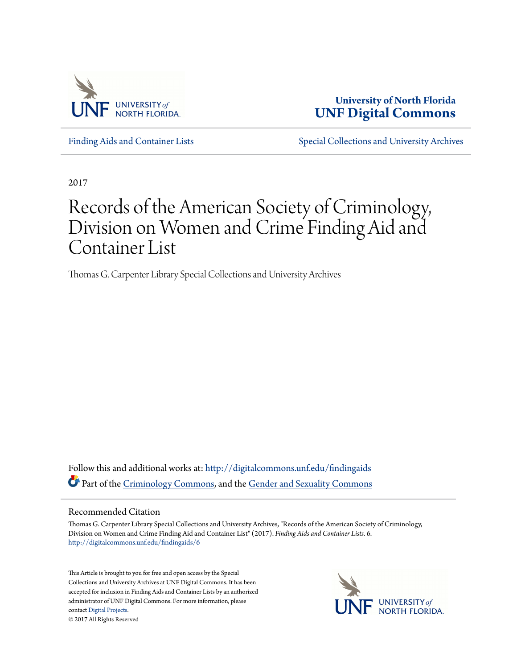

**University of North Florida [UNF Digital Commons](http://digitalcommons.unf.edu?utm_source=digitalcommons.unf.edu%2Ffindingaids%2F6&utm_medium=PDF&utm_campaign=PDFCoverPages)**

[Finding Aids and Container Lists](http://digitalcommons.unf.edu/findingaids?utm_source=digitalcommons.unf.edu%2Ffindingaids%2F6&utm_medium=PDF&utm_campaign=PDFCoverPages) [Special Collections and University Archives](http://digitalcommons.unf.edu/spec_coll?utm_source=digitalcommons.unf.edu%2Ffindingaids%2F6&utm_medium=PDF&utm_campaign=PDFCoverPages)

2017

# Records of the American Society of Criminology, Division on Women and Crime Finding Aid and Container List

Thomas G. Carpenter Library Special Collections and University Archives

Follow this and additional works at: [http://digitalcommons.unf.edu/findingaids](http://digitalcommons.unf.edu/findingaids?utm_source=digitalcommons.unf.edu%2Ffindingaids%2F6&utm_medium=PDF&utm_campaign=PDFCoverPages) Part of the [Criminology Commons,](http://network.bepress.com/hgg/discipline/417?utm_source=digitalcommons.unf.edu%2Ffindingaids%2F6&utm_medium=PDF&utm_campaign=PDFCoverPages) and the [Gender and Sexuality Commons](http://network.bepress.com/hgg/discipline/420?utm_source=digitalcommons.unf.edu%2Ffindingaids%2F6&utm_medium=PDF&utm_campaign=PDFCoverPages)

#### Recommended Citation

Thomas G. Carpenter Library Special Collections and University Archives, "Records of the American Society of Criminology, Division on Women and Crime Finding Aid and Container List" (2017). *Finding Aids and Container Lists*. 6. [http://digitalcommons.unf.edu/findingaids/6](http://digitalcommons.unf.edu/findingaids/6?utm_source=digitalcommons.unf.edu%2Ffindingaids%2F6&utm_medium=PDF&utm_campaign=PDFCoverPages)

This Article is brought to you for free and open access by the Special Collections and University Archives at UNF Digital Commons. It has been accepted for inclusion in Finding Aids and Container Lists by an authorized administrator of UNF Digital Commons. For more information, please contact [Digital Projects.](mailto:lib-digital@unf.edu) © 2017 All Rights Reserved

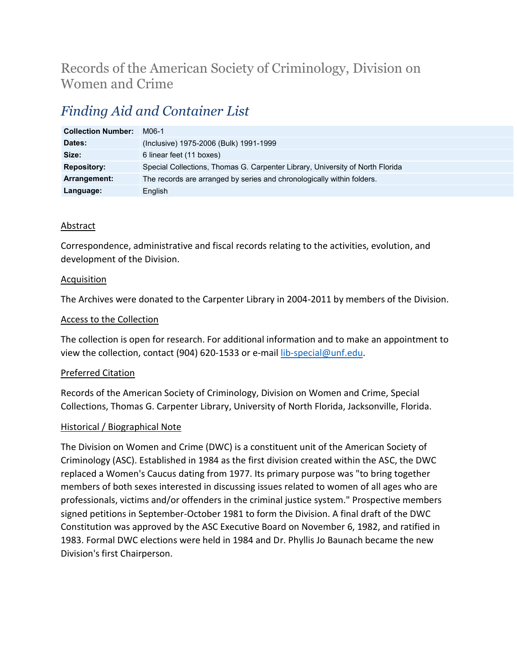# Records of the American Society of Criminology, Division on Women and Crime

# *Finding Aid and Container List*

| <b>Collection Number:</b> | M06-1                                                                         |
|---------------------------|-------------------------------------------------------------------------------|
| Dates:                    | (Inclusive) 1975-2006 (Bulk) 1991-1999                                        |
| Size:                     | 6 linear feet (11 boxes)                                                      |
| <b>Repository:</b>        | Special Collections, Thomas G. Carpenter Library, University of North Florida |
| Arrangement:              | The records are arranged by series and chronologically within folders.        |
| Language:                 | English                                                                       |

### **Abstract**

Correspondence, administrative and fiscal records relating to the activities, evolution, and development of the Division.

#### Acquisition

The Archives were donated to the Carpenter Library in 2004-2011 by members of the Division.

#### Access to the Collection

The collection is open for research. For additional information and to make an appointment to view the collection, contact (904) 620-1533 or e-mail [lib-special@unf.edu.](mailto:lib-special@unf.edu)

#### Preferred Citation

Records of the American Society of Criminology, Division on Women and Crime, Special Collections, Thomas G. Carpenter Library, University of North Florida, Jacksonville, Florida.

#### Historical / Biographical Note

The Division on Women and Crime (DWC) is a constituent unit of the American Society of Criminology (ASC). Established in 1984 as the first division created within the ASC, the DWC replaced a Women's Caucus dating from 1977. Its primary purpose was "to bring together members of both sexes interested in discussing issues related to women of all ages who are professionals, victims and/or offenders in the criminal justice system." Prospective members signed petitions in September-October 1981 to form the Division. A final draft of the DWC Constitution was approved by the ASC Executive Board on November 6, 1982, and ratified in 1983. Formal DWC elections were held in 1984 and Dr. Phyllis Jo Baunach became the new Division's first Chairperson.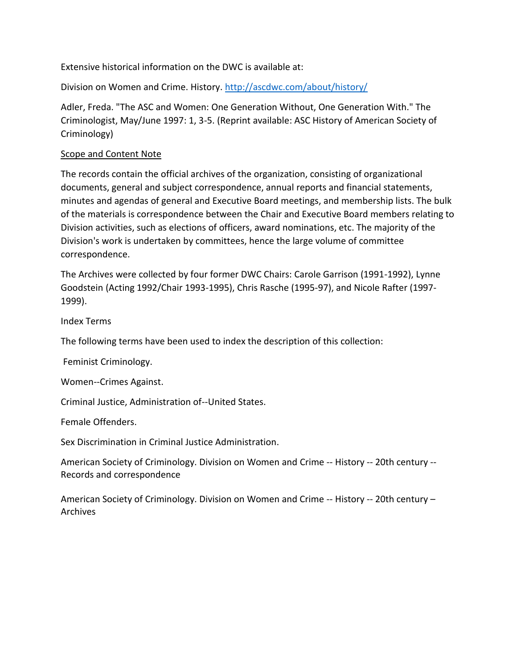Extensive historical information on the DWC is available at:

Division on Women and Crime. History. <http://ascdwc.com/about/history/>

Adler, Freda. "The ASC and Women: One Generation Without, One Generation With." The Criminologist, May/June 1997: 1, 3-5. (Reprint available: ASC History of American Society of Criminology)

### Scope and Content Note

The records contain the official archives of the organization, consisting of organizational documents, general and subject correspondence, annual reports and financial statements, minutes and agendas of general and Executive Board meetings, and membership lists. The bulk of the materials is correspondence between the Chair and Executive Board members relating to Division activities, such as elections of officers, award nominations, etc. The majority of the Division's work is undertaken by committees, hence the large volume of committee correspondence.

The Archives were collected by four former DWC Chairs: Carole Garrison (1991-1992), Lynne Goodstein (Acting 1992/Chair 1993-1995), Chris Rasche (1995-97), and Nicole Rafter (1997- 1999).

Index Terms

The following terms have been used to index the description of this collection:

Feminist Criminology.

Women--Crimes Against.

Criminal Justice, Administration of--United States.

Female Offenders.

Sex Discrimination in Criminal Justice Administration.

American Society of Criminology. Division on Women and Crime -- History -- 20th century -- Records and correspondence

American Society of Criminology. Division on Women and Crime -- History -- 20th century – Archives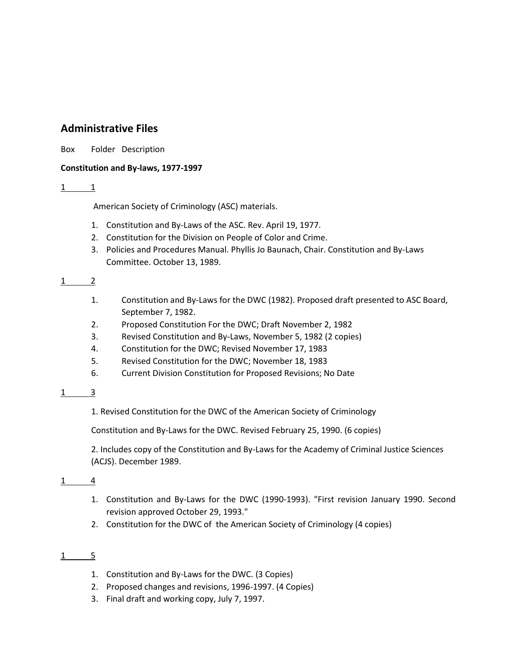# **Administrative Files**

Box Folder Description

#### **Constitution and By-laws, 1977-1997**

#### 1 1

American Society of Criminology (ASC) materials.

- 1. Constitution and By-Laws of the ASC. Rev. April 19, 1977.
- 2. Constitution for the Division on People of Color and Crime.
- 3. Policies and Procedures Manual. Phyllis Jo Baunach, Chair. Constitution and By-Laws Committee. October 13, 1989.

#### 1 2

- 1. Constitution and By-Laws for the DWC (1982). Proposed draft presented to ASC Board, September 7, 1982.
- 2. Proposed Constitution For the DWC; Draft November 2, 1982
- 3. Revised Constitution and By-Laws, November 5, 1982 (2 copies)
- 4. Constitution for the DWC; Revised November 17, 1983
- 5. Revised Constitution for the DWC; November 18, 1983
- 6. Current Division Constitution for Proposed Revisions; No Date

#### 1 3

1. Revised Constitution for the DWC of the American Society of Criminology

Constitution and By-Laws for the DWC. Revised February 25, 1990. (6 copies)

2. Includes copy of the Constitution and By-Laws for the Academy of Criminal Justice Sciences (ACJS). December 1989.

1 4

- 1. Constitution and By-Laws for the DWC (1990-1993). "First revision January 1990. Second revision approved October 29, 1993."
- 2. Constitution for the DWC of the American Society of Criminology (4 copies)

#### $1 \quad 5$

- 1. Constitution and By-Laws for the DWC. (3 Copies)
- 2. Proposed changes and revisions, 1996-1997. (4 Copies)
- 3. Final draft and working copy, July 7, 1997.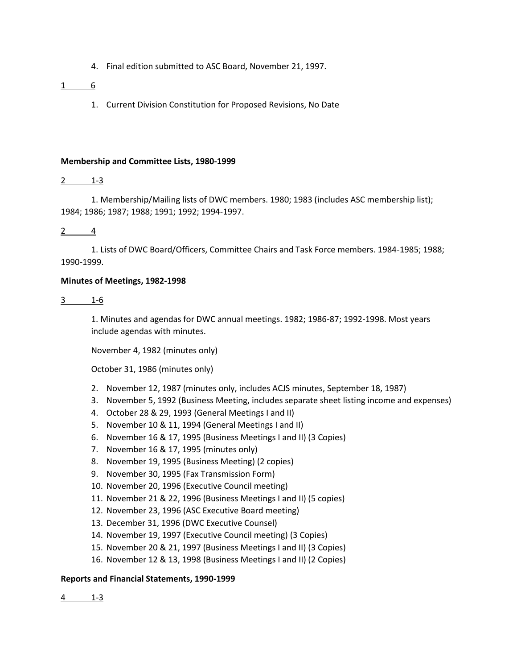4. Final edition submitted to ASC Board, November 21, 1997.

#### 1 6

1. Current Division Constitution for Proposed Revisions, No Date

#### **Membership and Committee Lists, 1980-1999**

#### $2 \t 1-3$

1. Membership/Mailing lists of DWC members. 1980; 1983 (includes ASC membership list); 1984; 1986; 1987; 1988; 1991; 1992; 1994-1997.

2 4

1. Lists of DWC Board/Officers, Committee Chairs and Task Force members. 1984-1985; 1988; 1990-1999.

#### **Minutes of Meetings, 1982-1998**

3 1-6

1. Minutes and agendas for DWC annual meetings. 1982; 1986-87; 1992-1998. Most years include agendas with minutes.

November 4, 1982 (minutes only)

October 31, 1986 (minutes only)

- 2. November 12, 1987 (minutes only, includes ACJS minutes, September 18, 1987)
- 3. November 5, 1992 (Business Meeting, includes separate sheet listing income and expenses)
- 4. October 28 & 29, 1993 (General Meetings I and II)
- 5. November 10 & 11, 1994 (General Meetings I and II)
- 6. November 16 & 17, 1995 (Business Meetings I and II) (3 Copies)
- 7. November 16 & 17, 1995 (minutes only)
- 8. November 19, 1995 (Business Meeting) (2 copies)
- 9. November 30, 1995 (Fax Transmission Form)
- 10. November 20, 1996 (Executive Council meeting)
- 11. November 21 & 22, 1996 (Business Meetings I and II) (5 copies)
- 12. November 23, 1996 (ASC Executive Board meeting)
- 13. December 31, 1996 (DWC Executive Counsel)
- 14. November 19, 1997 (Executive Council meeting) (3 Copies)
- 15. November 20 & 21, 1997 (Business Meetings I and II) (3 Copies)
- 16. November 12 & 13, 1998 (Business Meetings I and II) (2 Copies)

#### **Reports and Financial Statements, 1990-1999**

4 1-3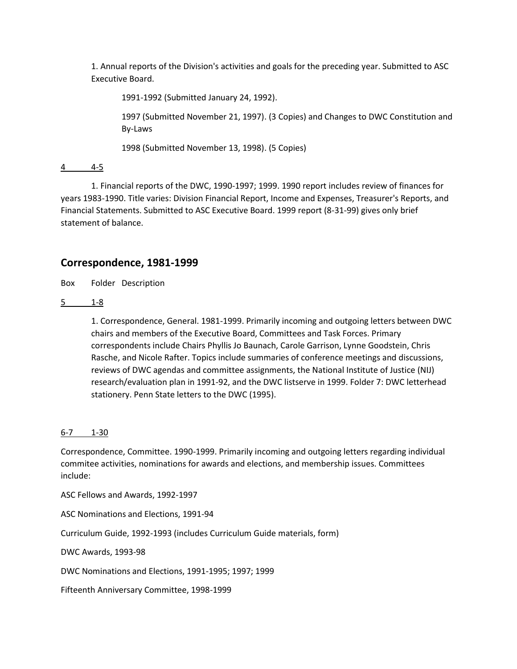1. Annual reports of the Division's activities and goals for the preceding year. Submitted to ASC Executive Board.

1991-1992 (Submitted January 24, 1992).

1997 (Submitted November 21, 1997). (3 Copies) and Changes to DWC Constitution and By-Laws

1998 (Submitted November 13, 1998). (5 Copies)

4 4-5

1. Financial reports of the DWC, 1990-1997; 1999. 1990 report includes review of finances for years 1983-1990. Title varies: Division Financial Report, Income and Expenses, Treasurer's Reports, and Financial Statements. Submitted to ASC Executive Board. 1999 report (8-31-99) gives only brief statement of balance.

## **Correspondence, 1981-1999**

Box Folder Description

5 1-8

1. Correspondence, General. 1981-1999. Primarily incoming and outgoing letters between DWC chairs and members of the Executive Board, Committees and Task Forces. Primary correspondents include Chairs Phyllis Jo Baunach, Carole Garrison, Lynne Goodstein, Chris Rasche, and Nicole Rafter. Topics include summaries of conference meetings and discussions, reviews of DWC agendas and committee assignments, the National Institute of Justice (NIJ) research/evaluation plan in 1991-92, and the DWC listserve in 1999. Folder 7: DWC letterhead stationery. Penn State letters to the DWC (1995).

#### 6-7 1-30

Correspondence, Committee. 1990-1999. Primarily incoming and outgoing letters regarding individual commitee activities, nominations for awards and elections, and membership issues. Committees include:

ASC Fellows and Awards, 1992-1997

ASC Nominations and Elections, 1991-94

Curriculum Guide, 1992-1993 (includes Curriculum Guide materials, form)

DWC Awards, 1993-98

DWC Nominations and Elections, 1991-1995; 1997; 1999

Fifteenth Anniversary Committee, 1998-1999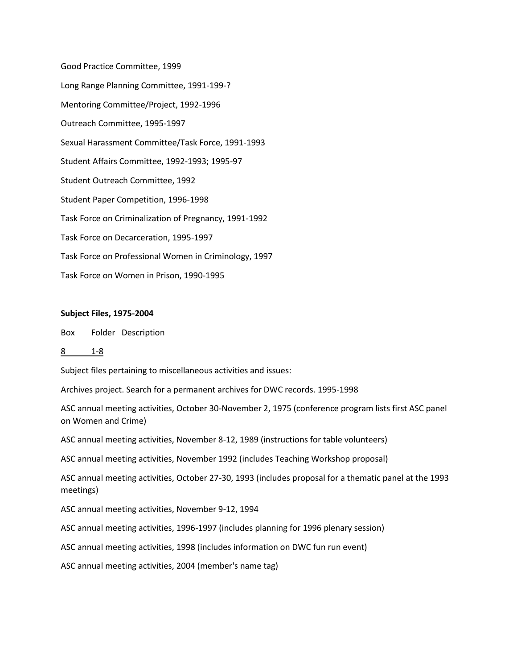Good Practice Committee, 1999 Long Range Planning Committee, 1991-199-? Mentoring Committee/Project, 1992-1996 Outreach Committee, 1995-1997 Sexual Harassment Committee/Task Force, 1991-1993 Student Affairs Committee, 1992-1993; 1995-97 Student Outreach Committee, 1992 Student Paper Competition, 1996-1998 Task Force on Criminalization of Pregnancy, 1991-1992 Task Force on Decarceration, 1995-1997 Task Force on Professional Women in Criminology, 1997 Task Force on Women in Prison, 1990-1995

#### **Subject Files, 1975-2004**

Box Folder Description

8 1-8

Subject files pertaining to miscellaneous activities and issues:

Archives project. Search for a permanent archives for DWC records. 1995-1998

ASC annual meeting activities, October 30-November 2, 1975 (conference program lists first ASC panel on Women and Crime)

ASC annual meeting activities, November 8-12, 1989 (instructions for table volunteers)

ASC annual meeting activities, November 1992 (includes Teaching Workshop proposal)

ASC annual meeting activities, October 27-30, 1993 (includes proposal for a thematic panel at the 1993 meetings)

ASC annual meeting activities, November 9-12, 1994

ASC annual meeting activities, 1996-1997 (includes planning for 1996 plenary session)

ASC annual meeting activities, 1998 (includes information on DWC fun run event)

ASC annual meeting activities, 2004 (member's name tag)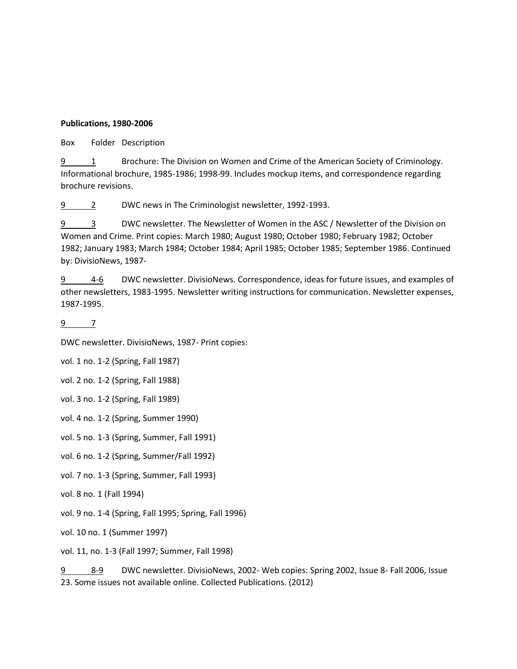#### **Publications, 1980-2006**

Box Folder Description

9 1 Brochure: The Division on Women and Crime of the American Society of Criminology. Informational brochure, 1985-1986; 1998-99. Includes mockup items, and correspondence regarding brochure revisions.

9 2 DWC news in The Criminologist newsletter, 1992-1993.

9 3 DWC newsletter. The Newsletter of Women in the ASC / Newsletter of the Division on Women and Crime. Print copies: March 1980; August 1980; October 1980; February 1982; October 1982; January 1983; March 1984; October 1984; April 1985; October 1985; September 1986. Continued by: DivisioNews, 1987-

9 4-6 DWC newsletter. DivisioNews. Correspondence, ideas for future issues, and examples of other newsletters, 1983-1995. Newsletter writing instructions for communication. Newsletter expenses, 1987-1995.

9 7

DWC newsletter. DivisioNews, 1987- Print copies:

vol. 1 no. 1-2 (Spring, Fall 1987)

vol. 2 no. 1-2 (Spring, Fall 1988)

vol. 3 no. 1-2 (Spring, Fall 1989)

vol. 4 no. 1-2 (Spring, Summer 1990)

vol. 5 no. 1-3 (Spring, Summer, Fall 1991)

vol. 6 no. 1-2 (Spring, Summer/Fall 1992)

vol. 7 no. 1-3 (Spring, Summer, Fall 1993)

vol. 8 no. 1 (Fall 1994)

vol. 9 no. 1-4 (Spring, Fall 1995; Spring, Fall 1996)

vol. 10 no. 1 (Summer 1997)

vol. 11, no. 1-3 (Fall 1997; Summer, Fall 1998)

9 8-9 DWC newsletter. DivisioNews, 2002- Web copies: Spring 2002, Issue 8- Fall 2006, Issue 23. Some issues not available online. Collected Publications. (2012)